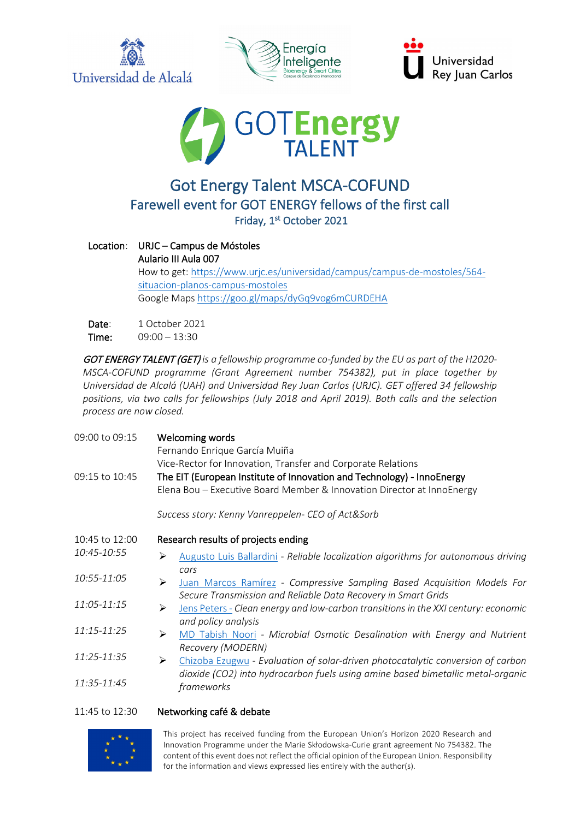







## Got Energy Talent MSCA-COFUND Farewell event for GOT ENERGY fellows of the first call Friday, 1st October 2021

## Location: URJC – Campus de Móstoles Aulario III Aula 007 How to get: [https://www.urjc.es/universidad/campus/campus](https://www.urjc.es/universidad/campus/campus-de-mostoles/564-situacion-planos-campus-mostoles)-de-mostoles/564 [situacion-planos-campus-mostoles](https://www.urjc.es/universidad/campus/campus-de-mostoles/564-situacion-planos-campus-mostoles) Google Map[s https://goo.gl/maps/dyGq9vog6mCURDEHA](https://goo.gl/maps/dyGq9vog6mCURDEHA)

Date: 1 October 2021 Time: 09:00 – 13:30

GOT ENERGY TALENT (GET) *is a fellowship programme co-funded by the EU as part of the H2020- MSCA-COFUND programme (Grant Agreement number 754382), put in place together by Universidad de Alcalá [\(UAH\)](https://www.uah.es/en/) and Universidad Rey Juan Carlos [\(URJC\)](https://www.urjc.es/en/?id=147). GET offered 34 fellowship positions, via two calls for fellowships (July 2018 and April 2019). Both calls and the selection process are now closed.*

| 09:00 to 09:15 | Welcoming words<br>Fernando Enrique García Muiña<br>Vice-Rector for Innovation, Transfer and Corporate Relations                                         |
|----------------|----------------------------------------------------------------------------------------------------------------------------------------------------------|
| 09:15 to 10:45 | The EIT (European Institute of Innovation and Technology) - InnoEnergy<br>Elena Bou - Executive Board Member & Innovation Director at InnoEnergy         |
|                | Success story: Kenny Vanreppelen- CEO of Act&Sorb                                                                                                        |
| 10:45 to 12:00 | Research results of projects ending                                                                                                                      |
| 10:45-10:55    | Augusto Luis Ballardini - Reliable localization algorithms for autonomous driving<br>⋗                                                                   |
| 10:55-11:05    | cars<br>➤<br>Juan Marcos Ramírez - Compressive Sampling Based Acquisition Models For                                                                     |
| 11:05-11:15    | Secure Transmission and Reliable Data Recovery in Smart Grids<br>Jens Peters - Clean energy and low-carbon transitions in the XXI century: economic<br>➤ |
| 11:15-11:25    | and policy analysis<br>➤<br>MD Tabish Noori - Microbial Osmotic Desalination with Energy and Nutrient                                                    |
| 11:25-11:35    | Recovery (MODERN)<br>Chizoba Ezugwu - Evaluation of solar-driven photocatalytic conversion of carbon<br>≻                                                |
| 11:35-11:45    | dioxide (CO2) into hydrocarbon fuels using amine based bimetallic metal-organic<br>frameworks                                                            |

## 11:45 to 12:30 Networking café & debate



This project has received funding from the European Union's Horizon 2020 Research and Innovation Programme under the Marie Skłodowska-Curie grant agreement No 754382. The content of this event does not reflect the official opinion of the European Union. Responsibility for the information and views expressed lies entirely with the author(s).